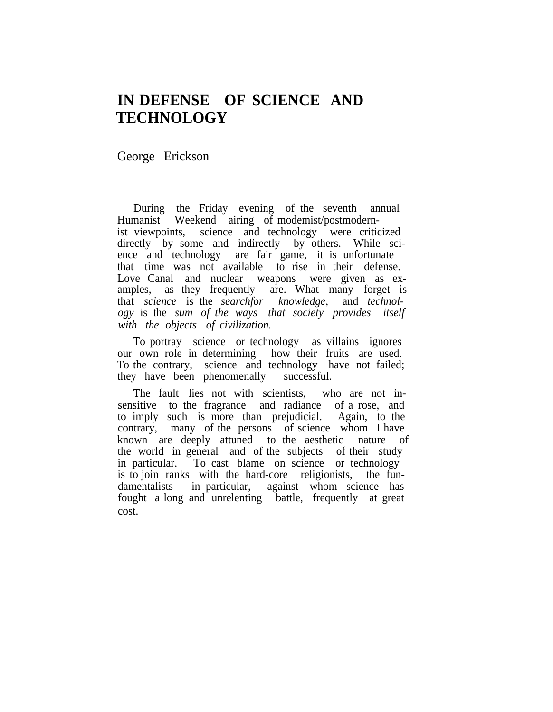## **IN DEFENSE OF SCIENCE AND TECHNOLOGY**

George Erickson

During the Friday evening of the seventh annual Humanist Weekend airing of modemist/postmodernist viewpoints, science and technology were criticized directly by some and indirectly by others. While science and technology are fair game, it is unfortunate that time was not available to rise in their defense. Love Canal and nuclear weapons were given as examples, as they frequently are. What many forget is that *science* is the *searchfor knowledge,* and *technology* is the *sum of the ways that society provides itself with the objects of civilization.*

To portray science or technology as villains ignores our own role in determining how their fruits are used. To the contrary, science and technology have not failed; they have been phenomenally successful.

The fault lies not with scientists, who are not insensitive to the fragrance and radiance of a rose, and to imply such is more than prejudicial. Again, to the contrary, many of the persons of science whom I have known are deeply attuned to the aesthetic nature of the world in general and of the subjects of their study in particular. To cast blame on science or technology is to join ranks with the hard-core religionists, the fundamentalists in particular, against whom science has fought a long and unrelenting battle, frequently at great cost.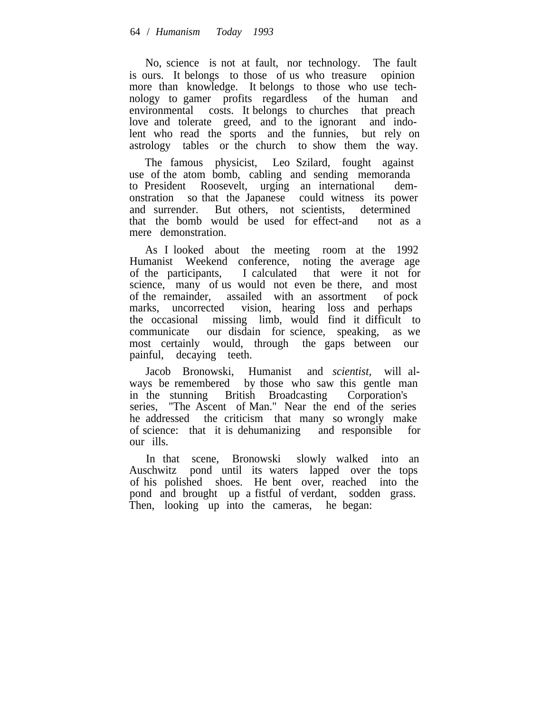No, science is not at fault, nor technology. The fault is ours. It belongs to those of us who treasure opinion more than knowledge. It belongs to those who use technology to gamer profits regardless of the human and environmental costs. It belongs to churches that preach love and tolerate greed, and to the ignorant and indolent who read the sports and the funnies, but rely on astrology tables or the church to show them the way.

The famous physicist, Leo Szilard, fought against use of the atom bomb, cabling and sending memoranda to President Roosevelt, urging an international demonstration so that the Japanese could witness its power and surrender. But others, not scientists, determined that the bomb would be used for effect-and not as a mere demonstration.

As I looked about the meeting room at the 1992 Humanist Weekend conference, noting the average age of the participants, I calculated that were it not for science, many of us would not even be there, and most of the remainder, assailed with an assortment of pock marks, uncorrected vision, hearing loss and perhaps the occasional missing limb, would find it difficult to communicate our disdain for science, speaking, as we most certainly would, through the gaps between our painful, decaying teeth.

Jacob Bronowski, Humanist and *scientist,* will always be remembered by those who saw this gentle man in the stunning British Broadcasting Corporation's series, "The Ascent of Man." Near the end of the series he addressed the criticism that many so wrongly make of science: that it is dehumanizing and responsible for our ills.

In that scene, Bronowski slowly walked into an Auschwitz pond until its waters lapped over the tops of his polished shoes. He bent over, reached into the pond and brought up a fistful of verdant, sodden grass. Then, looking up into the cameras, he began: